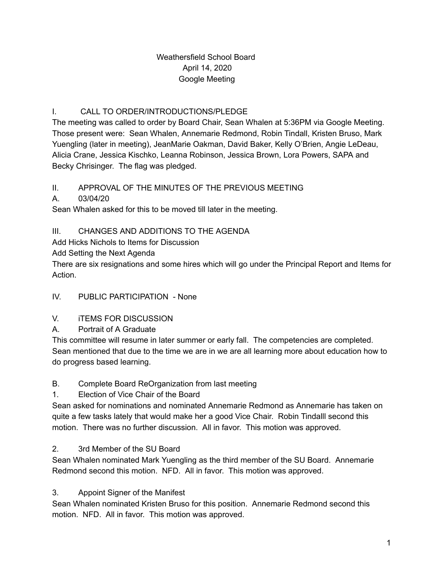## Weathersfield School Board April 14, 2020 Google Meeting

## I. CALL TO ORDER/INTRODUCTIONS/PLEDGE

The meeting was called to order by Board Chair, Sean Whalen at 5:36PM via Google Meeting. Those present were: Sean Whalen, Annemarie Redmond, Robin Tindall, Kristen Bruso, Mark Yuengling (later in meeting), JeanMarie Oakman, David Baker, Kelly O'Brien, Angie LeDeau, Alicia Crane, Jessica Kischko, Leanna Robinson, Jessica Brown, Lora Powers, SAPA and Becky Chrisinger. The flag was pledged.

## II. APPROVAL OF THE MINUTES OF THE PREVIOUS MEETING

A. 03/04/20

Sean Whalen asked for this to be moved till later in the meeting.

## III. CHANGES AND ADDITIONS TO THE AGENDA

Add Hicks Nichols to Items for Discussion

Add Setting the Next Agenda

There are six resignations and some hires which will go under the Principal Report and Items for Action.

## IV. PUBLIC PARTICIPATION - None

## V. iTEMS FOR DISCUSSION

A. Portrait of A Graduate

This committee will resume in later summer or early fall. The competencies are completed. Sean mentioned that due to the time we are in we are all learning more about education how to do progress based learning.

## B. Complete Board ReOrganization from last meeting

1. Election of Vice Chair of the Board

Sean asked for nominations and nominated Annemarie Redmond as Annemarie has taken on quite a few tasks lately that would make her a good Vice Chair. Robin Tindalll second this motion. There was no further discussion. All in favor. This motion was approved.

## 2. 3rd Member of the SU Board

Sean Whalen nominated Mark Yuengling as the third member of the SU Board. Annemarie Redmond second this motion. NFD. All in favor. This motion was approved.

## 3. Appoint Signer of the Manifest

Sean Whalen nominated Kristen Bruso for this position. Annemarie Redmond second this motion. NFD. All in favor. This motion was approved.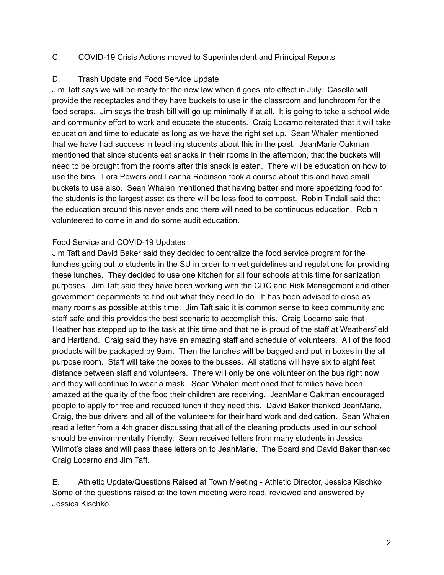#### C. COVID-19 Crisis Actions moved to Superintendent and Principal Reports

#### D. Trash Update and Food Service Update

Jim Taft says we will be ready for the new law when it goes into effect in July. Casella will provide the receptacles and they have buckets to use in the classroom and lunchroom for the food scraps. Jim says the trash bill will go up minimally if at all. It is going to take a school wide and community effort to work and educate the students. Craig Locarno reiterated that it will take education and time to educate as long as we have the right set up. Sean Whalen mentioned that we have had success in teaching students about this in the past. JeanMarie Oakman mentioned that since students eat snacks in their rooms in the afternoon, that the buckets will need to be brought from the rooms after this snack is eaten. There will be education on how to use the bins. Lora Powers and Leanna Robinson took a course about this and have small buckets to use also. Sean Whalen mentioned that having better and more appetizing food for the students is the largest asset as there will be less food to compost. Robin Tindall said that the education around this never ends and there will need to be continuous education. Robin volunteered to come in and do some audit education.

#### Food Service and COVID-19 Updates

Jim Taft and David Baker said they decided to centralize the food service program for the lunches going out to students in the SU in order to meet guidelines and regulations for providing these lunches. They decided to use one kitchen for all four schools at this time for sanization purposes. Jim Taft said they have been working with the CDC and Risk Management and other government departments to find out what they need to do. It has been advised to close as many rooms as possible at this time. Jim Taft said it is common sense to keep community and staff safe and this provides the best scenario to accomplish this. Craig Locarno said that Heather has stepped up to the task at this time and that he is proud of the staff at Weathersfield and Hartland. Craig said they have an amazing staff and schedule of volunteers. All of the food products will be packaged by 9am. Then the lunches will be bagged and put in boxes in the all purpose room. Staff will take the boxes to the busses. All stations will have six to eight feet distance between staff and volunteers. There will only be one volunteer on the bus right now and they will continue to wear a mask. Sean Whalen mentioned that families have been amazed at the quality of the food their children are receiving. JeanMarie Oakman encouraged people to apply for free and reduced lunch if they need this. David Baker thanked JeanMarie, Craig, the bus drivers and all of the volunteers for their hard work and dedication. Sean Whalen read a letter from a 4th grader discussing that all of the cleaning products used in our school should be environmentally friendly. Sean received letters from many students in Jessica Wilmot's class and will pass these letters on to JeanMarie. The Board and David Baker thanked Craig Locarno and Jim Taft.

E. Athletic Update/Questions Raised at Town Meeting - Athletic Director, Jessica Kischko Some of the questions raised at the town meeting were read, reviewed and answered by Jessica Kischko.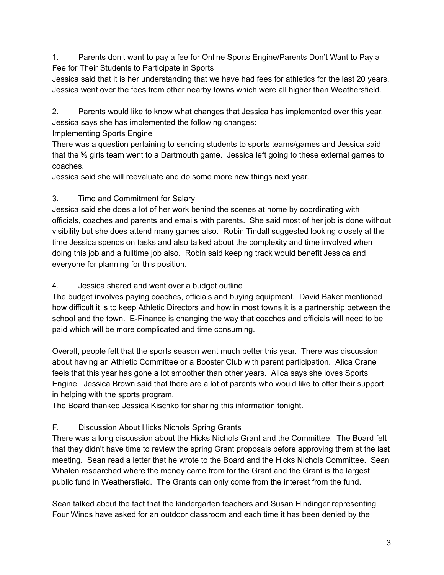1. Parents don't want to pay a fee for Online Sports Engine/Parents Don't Want to Pay a Fee for Their Students to Participate in Sports

Jessica said that it is her understanding that we have had fees for athletics for the last 20 years. Jessica went over the fees from other nearby towns which were all higher than Weathersfield.

2. Parents would like to know what changes that Jessica has implemented over this year. Jessica says she has implemented the following changes:

Implementing Sports Engine

There was a question pertaining to sending students to sports teams/games and Jessica said that the ⅚ girls team went to a Dartmouth game. Jessica left going to these external games to coaches.

Jessica said she will reevaluate and do some more new things next year.

# 3. Time and Commitment for Salary

Jessica said she does a lot of her work behind the scenes at home by coordinating with officials, coaches and parents and emails with parents. She said most of her job is done without visibility but she does attend many games also. Robin Tindall suggested looking closely at the time Jessica spends on tasks and also talked about the complexity and time involved when doing this job and a fulltime job also. Robin said keeping track would benefit Jessica and everyone for planning for this position.

## 4. Jessica shared and went over a budget outline

The budget involves paying coaches, officials and buying equipment. David Baker mentioned how difficult it is to keep Athletic Directors and how in most towns it is a partnership between the school and the town. E-Finance is changing the way that coaches and officials will need to be paid which will be more complicated and time consuming.

Overall, people felt that the sports season went much better this year. There was discussion about having an Athletic Committee or a Booster Club with parent participation. Alica Crane feels that this year has gone a lot smoother than other years. Alica says she loves Sports Engine. Jessica Brown said that there are a lot of parents who would like to offer their support in helping with the sports program.

The Board thanked Jessica Kischko for sharing this information tonight.

# F. Discussion About Hicks Nichols Spring Grants

There was a long discussion about the Hicks Nichols Grant and the Committee. The Board felt that they didn't have time to review the spring Grant proposals before approving them at the last meeting. Sean read a letter that he wrote to the Board and the Hicks Nichols Committee. Sean Whalen researched where the money came from for the Grant and the Grant is the largest public fund in Weathersfield. The Grants can only come from the interest from the fund.

Sean talked about the fact that the kindergarten teachers and Susan Hindinger representing Four Winds have asked for an outdoor classroom and each time it has been denied by the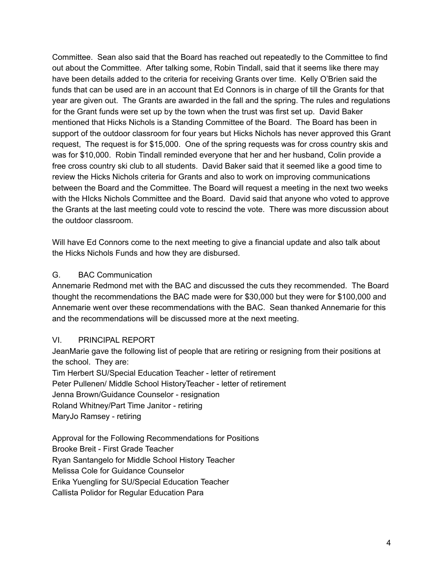Committee. Sean also said that the Board has reached out repeatedly to the Committee to find out about the Committee. After talking some, Robin Tindall, said that it seems like there may have been details added to the criteria for receiving Grants over time. Kelly O'Brien said the funds that can be used are in an account that Ed Connors is in charge of till the Grants for that year are given out. The Grants are awarded in the fall and the spring. The rules and regulations for the Grant funds were set up by the town when the trust was first set up. David Baker mentioned that Hicks Nichols is a Standing Committee of the Board. The Board has been in support of the outdoor classroom for four years but Hicks Nichols has never approved this Grant request, The request is for \$15,000. One of the spring requests was for cross country skis and was for \$10,000. Robin Tindall reminded everyone that her and her husband, Colin provide a free cross country ski club to all students. David Baker said that it seemed like a good time to review the Hicks Nichols criteria for Grants and also to work on improving communications between the Board and the Committee. The Board will request a meeting in the next two weeks with the HIcks Nichols Committee and the Board. David said that anyone who voted to approve the Grants at the last meeting could vote to rescind the vote. There was more discussion about the outdoor classroom.

Will have Ed Connors come to the next meeting to give a financial update and also talk about the Hicks Nichols Funds and how they are disbursed.

### G. BAC Communication

Annemarie Redmond met with the BAC and discussed the cuts they recommended. The Board thought the recommendations the BAC made were for \$30,000 but they were for \$100,000 and Annemarie went over these recommendations with the BAC. Sean thanked Annemarie for this and the recommendations will be discussed more at the next meeting.

#### VI. PRINCIPAL REPORT

JeanMarie gave the following list of people that are retiring or resigning from their positions at the school. They are:

Tim Herbert SU/Special Education Teacher - letter of retirement Peter Pullenen/ Middle School HistoryTeacher - letter of retirement Jenna Brown/Guidance Counselor - resignation Roland Whitney/Part Time Janitor - retiring MaryJo Ramsey - retiring

Approval for the Following Recommendations for Positions Brooke Breit - First Grade Teacher Ryan Santangelo for Middle School History Teacher Melissa Cole for Guidance Counselor Erika Yuengling for SU/Special Education Teacher Callista Polidor for Regular Education Para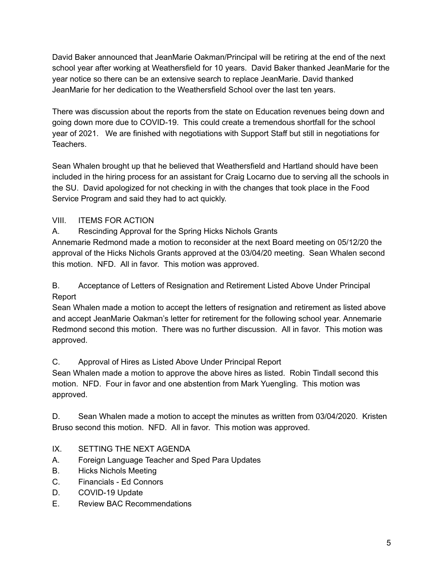David Baker announced that JeanMarie Oakman/Principal will be retiring at the end of the next school year after working at Weathersfield for 10 years. David Baker thanked JeanMarie for the year notice so there can be an extensive search to replace JeanMarie. David thanked JeanMarie for her dedication to the Weathersfield School over the last ten years.

There was discussion about the reports from the state on Education revenues being down and going down more due to COVID-19. This could create a tremendous shortfall for the school year of 2021. We are finished with negotiations with Support Staff but still in negotiations for Teachers.

Sean Whalen brought up that he believed that Weathersfield and Hartland should have been included in the hiring process for an assistant for Craig Locarno due to serving all the schools in the SU. David apologized for not checking in with the changes that took place in the Food Service Program and said they had to act quickly.

## VIII. ITEMS FOR ACTION

A. Rescinding Approval for the Spring Hicks Nichols Grants

Annemarie Redmond made a motion to reconsider at the next Board meeting on 05/12/20 the approval of the Hicks Nichols Grants approved at the 03/04/20 meeting. Sean Whalen second this motion. NFD. All in favor. This motion was approved.

B. Acceptance of Letters of Resignation and Retirement Listed Above Under Principal Report

Sean Whalen made a motion to accept the letters of resignation and retirement as listed above and accept JeanMarie Oakman's letter for retirement for the following school year. Annemarie Redmond second this motion. There was no further discussion. All in favor. This motion was approved.

C. Approval of Hires as Listed Above Under Principal Report

Sean Whalen made a motion to approve the above hires as listed. Robin Tindall second this motion. NFD. Four in favor and one abstention from Mark Yuengling. This motion was approved.

D. Sean Whalen made a motion to accept the minutes as written from 03/04/2020. Kristen Bruso second this motion. NFD. All in favor. This motion was approved.

# IX. SETTING THE NEXT AGENDA

- A. Foreign Language Teacher and Sped Para Updates
- B. Hicks Nichols Meeting
- C. Financials Ed Connors
- D. COVID-19 Update
- E. Review BAC Recommendations